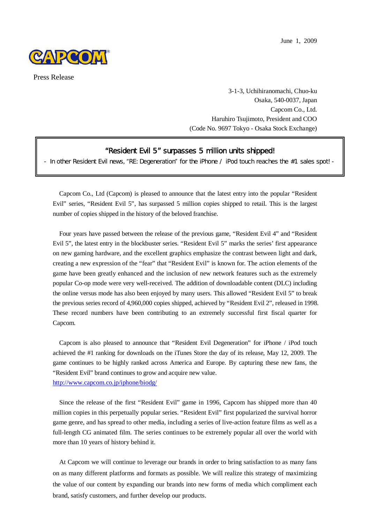June 1, 2009



Press Release

3-1-3, Uchihiranomachi, Chuo-ku Osaka, 540-0037, Japan Capcom Co., Ltd. Haruhiro Tsujimoto, President and COO (Code No. 9697 Tokyo - Osaka Stock Exchange)

## **"**Resident Evil 5**"** surpasses 5 million units shipped!

- In other Resident Evil news, "RE: Degeneration" for the iPhone / iPod touch reaches the #1 sales spot! -

Capcom Co., Ltd (Capcom) is pleased to announce that the latest entry into the popular "Resident Evil" series, "Resident Evil 5", has surpassed 5 million copies shipped to retail. This is the largest number of copies shipped in the history of the beloved franchise.

Four years have passed between the release of the previous game, "Resident Evil 4" and "Resident Evil 5", the latest entry in the blockbuster series. "Resident Evil 5" marks the series' first appearance on new gaming hardware, and the excellent graphics emphasize the contrast between light and dark, creating a new expression of the "fear" that "Resident Evil" is known for. The action elements of the game have been greatly enhanced and the inclusion of new network features such as the extremely popular Co-op mode were very well-received. The addition of downloadable content (DLC) including the online versus mode has also been enjoyed by many users. This allowed "Resident Evil 5" to break the previous series record of 4,960,000 copies shipped, achieved by "Resident Evil 2", released in 1998. These record numbers have been contributing to an extremely successful first fiscal quarter for Capcom.

Capcom is also pleased to announce that "Resident Evil Degeneration" for iPhone / iPod touch achieved the #1 ranking for downloads on the iTunes Store the day of its release, May 12, 2009. The game continues to be highly ranked across America and Europe. By capturing these new fans, the "Resident Evil" brand continues to grow and acquire new value. http://www.capcom.co.jp/iphone/biodg/

Since the release of the first "Resident Evil" game in 1996, Capcom has shipped more than 40 million copies in this perpetually popular series. "Resident Evil" first popularized the survival horror game genre, and has spread to other media, including a series of live-action feature films as well as a full-length CG animated film. The series continues to be extremely popular all over the world with more than 10 years of history behind it.

At Capcom we will continue to leverage our brands in order to bring satisfaction to as many fans on as many different platforms and formats as possible. We will realize this strategy of maximizing the value of our content by expanding our brands into new forms of media which compliment each brand, satisfy customers, and further develop our products.